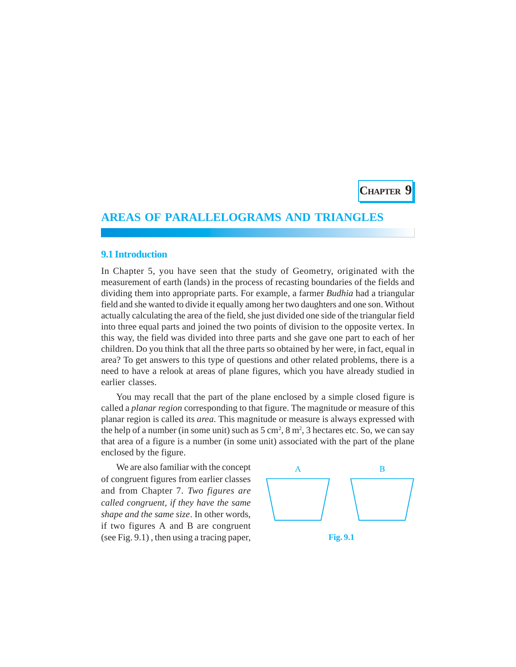**CHAPTER 9**

# **AREAS OF PARALLELOGRAMS AND TRIANGLES**

### **9.1 Introduction**

In Chapter 5, you have seen that the study of Geometry, originated with the measurement of earth (lands) in the process of recasting boundaries of the fields and dividing them into appropriate parts. For example, a farmer *Budhia* had a triangular field and she wanted to divide it equally among her two daughters and one son. Without actually calculating the area of the field, she just divided one side of the triangular field into three equal parts and joined the two points of division to the opposite vertex. In this way, the field was divided into three parts and she gave one part to each of her children. Do you think that all the three parts so obtained by her were, in fact, equal in area? To get answers to this type of questions and other related problems, there is a need to have a relook at areas of plane figures, which you have already studied in earlier classes.

You may recall that the part of the plane enclosed by a simple closed figure is called a *planar region* corresponding to that figure. The magnitude or measure of this planar region is called its *area*. This magnitude or measure is always expressed with the help of a number (in some unit) such as  $5 \text{ cm}^2$ ,  $8 \text{ m}^2$ ,  $3 \text{ hectares}$  etc. So, we can say that area of a figure is a number (in some unit) associated with the part of the plane enclosed by the figure.

We are also familiar with the concept of congruent figures from earlier classes and from Chapter 7. *Two figures are called congruent, if they have the same shape and the same size*. In other words, if two figures A and B are congruent (see Fig. 9.1), then using a tracing paper, **Fig. 9.1** 



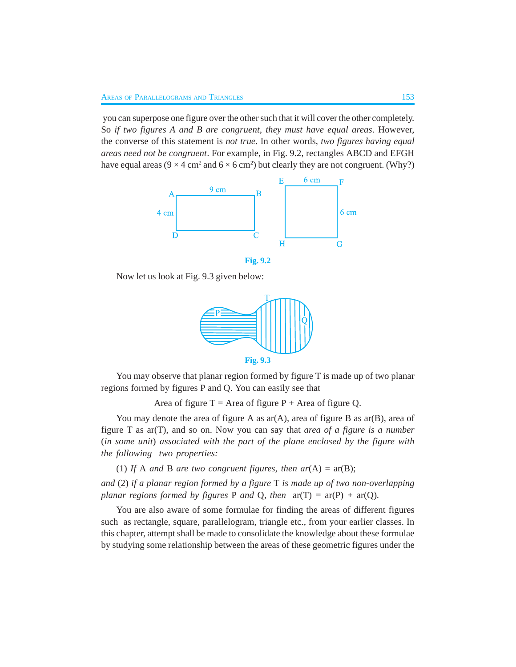you can superpose one figure over the other such that it will cover the other completely. So *if two figures A and B are congruent, they must have equal areas*. However, the converse of this statement is *not true*. In other words, *two figures having equal areas need not be congruent*. For example, in Fig. 9.2, rectangles ABCD and EFGH have equal areas ( $9 \times 4$  cm<sup>2</sup> and  $6 \times 6$  cm<sup>2</sup>) but clearly they are not congruent. (Why?)





Now let us look at Fig. 9.3 given below:



You may observe that planar region formed by figure T is made up of two planar regions formed by figures P and Q. You can easily see that

Area of figure  $T =$  Area of figure  $P +$  Area of figure Q.

You may denote the area of figure A as  $ar(A)$ , area of figure B as  $ar(B)$ , area of figure T as ar(T), and so on. Now you can say that *area of a figure is a number* (*in some unit*) *associated with the part of the plane enclosed by the figure with the following two properties:*

(1) If A and B are two congruent figures, then  $ar(A) = ar(B)$ ;

*and* (2) *if a planar region formed by a figure* T *is made up of two non-overlapping planar regions formed by figures P and Q, then*  $ar(T) = ar(P) + ar(Q)$ .

You are also aware of some formulae for finding the areas of different figures such as rectangle, square, parallelogram, triangle etc., from your earlier classes. In this chapter, attempt shall be made to consolidate the knowledge about these formulae by studying some relationship between the areas of these geometric figures under the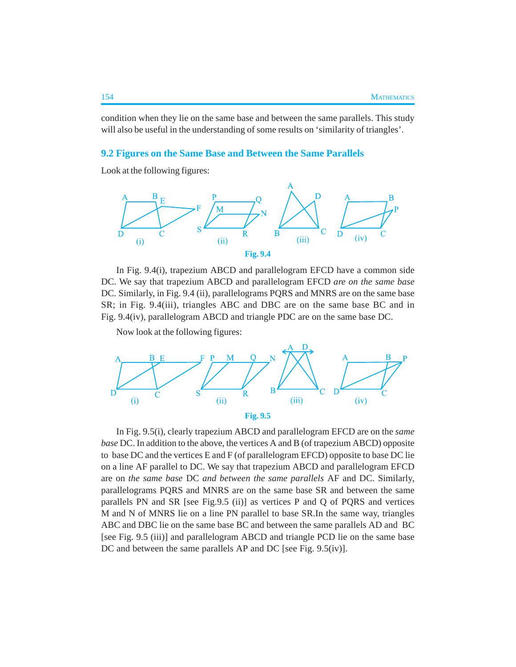condition when they lie on the same base and between the same parallels. This study will also be useful in the understanding of some results on 'similarity of triangles'.

# **9.2 Figures on the Same Base and Between the Same Parallels**

Look at the following figures:



In Fig. 9.4(i), trapezium ABCD and parallelogram EFCD have a common side DC. We say that trapezium ABCD and parallelogram EFCD *are on the same base* DC. Similarly, in Fig. 9.4 (ii), parallelograms PQRS and MNRS are on the same base SR; in Fig. 9.4(iii), triangles ABC and DBC are on the same base BC and in Fig. 9.4(iv), parallelogram ABCD and triangle PDC are on the same base DC.

Now look at the following figures:



In Fig. 9.5(i), clearly trapezium ABCD and parallelogram EFCD are on the *same base* DC. In addition to the above, the vertices A and B (of trapezium ABCD) opposite to base DC and the vertices E and F (of parallelogram EFCD) opposite to base DC lie on a line AF parallel to DC. We say that trapezium ABCD and parallelogram EFCD are on *the same base* DC *and between the same parallels* AF and DC. Similarly, parallelograms PQRS and MNRS are on the same base SR and between the same parallels PN and SR [see Fig.9.5 (ii)] as vertices P and Q of PQRS and vertices M and N of MNRS lie on a line PN parallel to base SR.In the same way, triangles ABC and DBC lie on the same base BC and between the same parallels AD and BC [see Fig. 9.5 (iii)] and parallelogram ABCD and triangle PCD lie on the same base DC and between the same parallels AP and DC [see Fig. 9.5(iv)].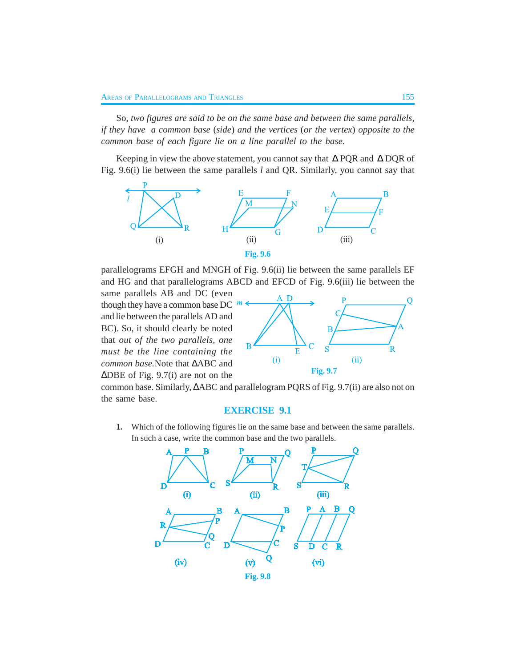So, *two figures are said to be on the same base and between the same parallels, if they have a common base* (*side*) *and the vertices* (*or the vertex*) *opposite to the common base of each figure lie on a line parallel to the base.*

Keeping in view the above statement, you cannot say that ∆ PQR and ∆ DQR of Fig. 9.6(i) lie between the same parallels *l* and QR. Similarly, you cannot say that



parallelograms EFGH and MNGH of Fig. 9.6(ii) lie between the same parallels EF and HG and that parallelograms ABCD and EFCD of Fig. 9.6(iii) lie between the

same parallels AB and DC (even though they have a common base DC and lie between the parallels AD and BC). So, it should clearly be noted that *out of the two parallels, one must be the line containing the common base.*Note that ∆ABC and ∆DBE of Fig. 9.7(i) are not on the



common base. Similarly, ∆ABC and parallelogram PQRS of Fig. 9.7(ii) are also not on the same base.

#### **EXERCISE 9.1**

**1.** Which of the following figures lie on the same base and between the same parallels. In such a case, write the common base and the two parallels.

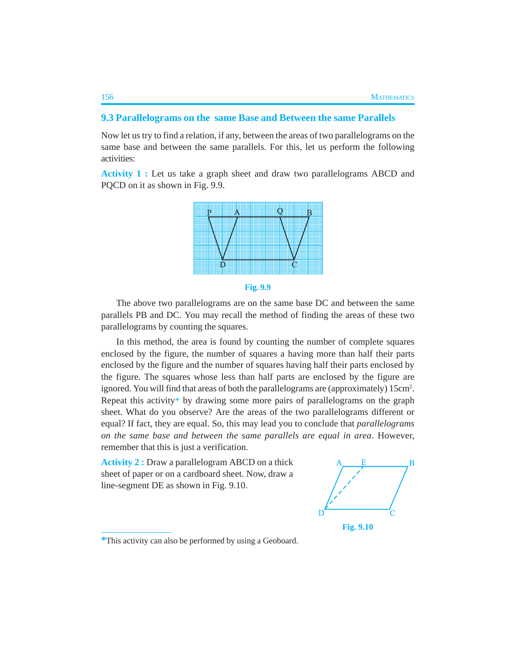# **9.3 Parallelograms on the same Base and Between the same Parallels**

Now let us try to find a relation, if any, between the areas of two parallelograms on the same base and between the same parallels. For this, let us perform the following activities:

**Activity 1 :** Let us take a graph sheet and draw two parallelograms ABCD and PQCD on it as shown in Fig. 9.9.





The above two parallelograms are on the same base DC and between the same parallels PB and DC. You may recall the method of finding the areas of these two parallelograms by counting the squares.

In this method, the area is found by counting the number of complete squares enclosed by the figure, the number of squares a having more than half their parts enclosed by the figure and the number of squares having half their parts enclosed by the figure. The squares whose less than half parts are enclosed by the figure are ignored. You will find that areas of both the parallelograms are (approximately) 15cm<sup>2</sup>. Repeat this activity\* by drawing some more pairs of parallelograms on the graph sheet. What do you observe? Are the areas of the two parallelograms different or equal? If fact, they are equal. So, this may lead you to conclude that *parallelograms on the same base and between the same parallels are equal in area*. However, remember that this is just a verification.

**Activity 2 :** Draw a parallelogram ABCD on a thick sheet of paper or on a cardboard sheet. Now, draw a line-segment DE as shown in Fig. 9.10.



**<sup>\*</sup>**This activity can also be performed by using a Geoboard.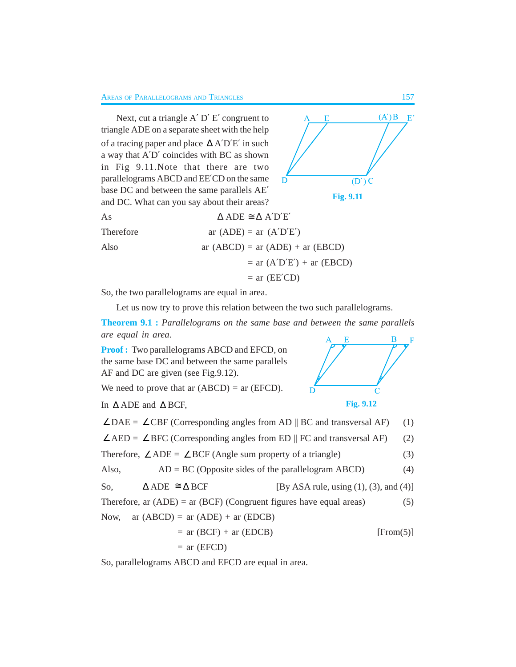Next, cut a triangle A′ D′ E′ congruent to triangle ADE on a separate sheet with the help of a tracing paper and place ∆ A′D′E′ in such a way that A′D′ coincides with BC as shown in Fig 9.11.Note that there are two parallelograms ABCD and EE′CD on the same base DC and between the same parallels AE′ and DC. What can you say about their areas?



**Fig. 9.12**

C

As  $\triangle ADE \cong \triangle A'D'E'$ Therefore  $ar (ADE) = ar (A'D'E')$ Also  $ar (ABCD) = ar (ADE) + ar (EBCD)$  $=$  ar (A'D'E') + ar (EBCD)  $=$  ar (EE'CD)

So, the two parallelograms are equal in area.

Let us now try to prove this relation between the two such parallelograms.

**Theorem 9.1 :** *Parallelograms on the same base and between the same parallels are equal in area.* E R

**Proof :** Two parallelograms ABCD and EFCD, on the same base DC and between the same parallels AF and DC are given (see Fig.9.12).

We need to prove that ar  $(ABCD) = ar (EFCD)$ .

In ∆ ADE and ∆ BCF,

 $\angle$ DAE =  $\angle$ CBF (Corresponding angles from AD || BC and transversal AF) (1)

 $\angle AED = \angle BFC$  (Corresponding angles from ED || FC and transversal AF) (2)

Therefore,  $\angle$  ADE =  $\angle$  BCF (Angle sum property of a triangle) (3)

Also,  $AD = BC$  (Opposite sides of the parallelogram ABCD) (4)

So,  $\triangle ADE \cong \triangle BCF$  [By ASA rule, using (1), (3), and (4)]

Therefore, ar  $(ADE) = ar (BCF) (Congruent figures have equal areas)$  (5)

Now, ar  $(ABCD) = ar (ADE) + ar (EDCB)$ 

# $=$  ar (BCF) + ar (EDCB) [From(5)]

 $\overline{D}$ 

 $=$  ar (EFCD)

So, parallelograms ABCD and EFCD are equal in area.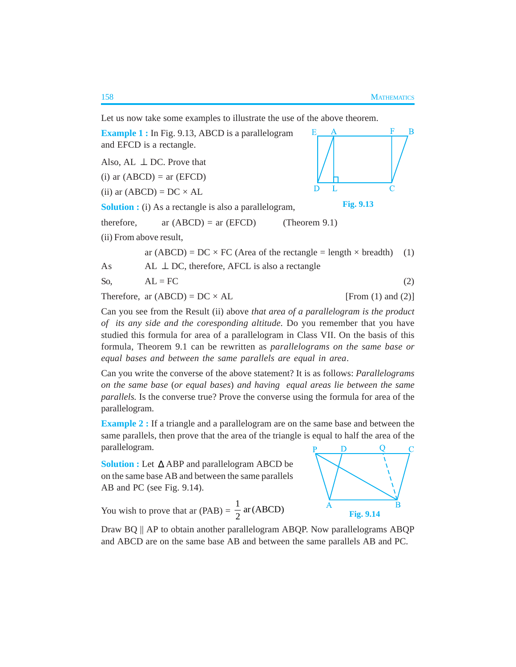

Can you see from the Result (ii) above *that area of a parallelogram is the product of its any side and the coresponding altitude.* Do you remember that you have studied this formula for area of a parallelogram in Class VII. On the basis of this formula, Theorem 9.1 can be rewritten as *parallelograms on the same base or equal bases and between the same parallels are equal in area*.

Can you write the converse of the above statement? It is as follows: *Parallelograms on the same base* (*or equal bases*) *and having equal areas lie between the same parallels.* Is the converse true? Prove the converse using the formula for area of the parallelogram.

**Example 2 :** If a triangle and a parallelogram are on the same base and between the same parallels, then prove that the area of the triangle is equal to half the area of the parallelogram.  $\Omega$ 

**Solution :** Let ∆ ABP and parallelogram ABCD be on the same base AB and between the same parallels AB and PC (see Fig. 9.14).

You wish to prove that ar  $(PAB) = \frac{1}{2}$  ar  $(ABCD)$ 



Draw BQ || AP to obtain another parallelogram ABQP. Now parallelograms ABQP and ABCD are on the same base AB and between the same parallels AB and PC.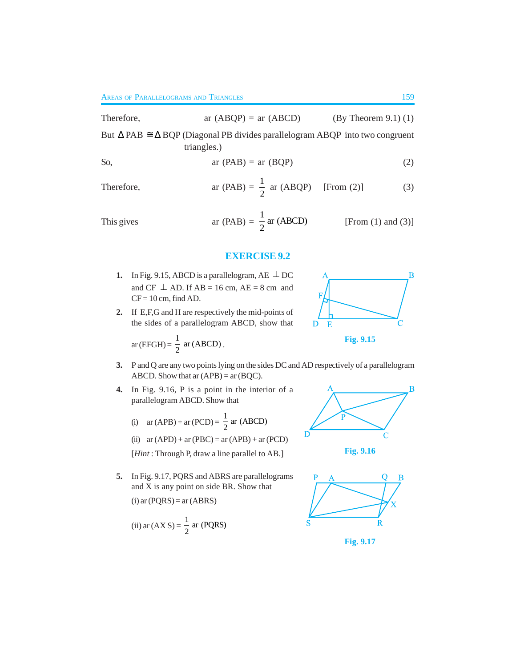Therefore,

Therefore, 
$$
ar (ABQP) = ar (ABCD)
$$
 (By Theorem 9.1) (1)

But ∆ PAB ≅ ∆ BQP (Diagonal PB divides parallelogram ABQP into two congruent triangles.)

So, 
$$
ar (PAB) = ar (BQP)
$$
 (2)

$$
ar (PAB) = \frac{1}{2} ar (ABQP) [From (2)] \tag{3}
$$

This gives 
$$
\text{ar}(PAB) = \frac{1}{2}\text{ar}(ABCD)
$$
 [From (1) and (3)]

#### **EXERCISE 9.2**

- **1.** In Fig. 9.15, ABCD is a parallelogram, AE  $\perp$  DC and CF  $\perp$  AD. If AB = 16 cm, AE = 8 cm and  $CF = 10$  cm, find AD.
- **2.** If E,F,G and H are respectively the mid-points of the sides of a parallelogram ABCD, show that

$$
ar(EFGH) = \frac{1}{2} ar(ABCD).
$$



 $\overline{D}$  $\mathbf E$ 

- **3.** P and Q are any two points lying on the sides DC and AD respectively of a parallelogram ABCD. Show that ar  $(APB) = ar (BQC)$ .
- **4.** In Fig. 9.16, P is a point in the interior of a parallelogram ABCD. Show that

(i) 
$$
\operatorname{ar}(APB) + \operatorname{ar}(PCD) = \frac{1}{2} \operatorname{ar}(ABCD)
$$

(ii) 
$$
ar (APD) + ar (PBC) = ar (APB) + ar (PCD)
$$

[*Hint* : Through P, draw a line parallel to AB.]

**5.** In Fig. 9.17, PQRS and ABRS are parallelograms and X is any point on side BR. Show that

 $(i)$  ar  $(PQRS) = ar(ABRS)$ 

(ii) ar 
$$
(AX S) = \frac{1}{2}
$$
 ar  $(PQRS)$ 



**Fig. 9.16**



**Fig. 9.17**

 $\overline{B}$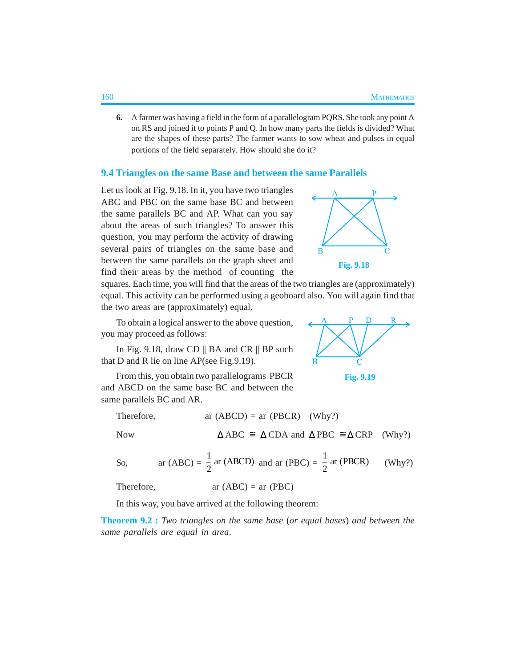**6.** A farmer was having a field in the form of a parallelogram PQRS. She took any point A on RS and joined it to points P and Q. In how many parts the fields is divided? What are the shapes of these parts? The farmer wants to sow wheat and pulses in equal portions of the field separately. How should she do it?

#### **9.4 Triangles on the same Base and between the same Parallels**

Let us look at Fig. 9.18. In it, you have two triangles ABC and PBC on the same base BC and between the same parallels BC and AP. What can you say about the areas of such triangles? To answer this question, you may perform the activity of drawing several pairs of triangles on the same base and between the same parallels on the graph sheet and find their areas by the method of counting the

squares. Each time, you will find that the areas of the two triangles are (approximately) equal. This activity can be performed using a geoboard also. You will again find that the two areas are (approximately) equal.

To obtain a logical answer to the above question, you may proceed as follows:

In Fig. 9.18, draw CD  $\parallel$  BA and CR  $\parallel$  BP such that D and R lie on line AP(see Fig.9.19).

From this, you obtain two parallelograms PBCR and ABCD on the same base BC and between the same parallels BC and AR.

Therefore,  $ar (ABCD) = ar (PBCR)$  (Why?) Now  $\triangle ABC \cong \triangle CDA$  and  $\triangle PBC \cong \triangle CRP$  (Why?)

So, ar (ABC) = 
$$
\frac{1}{2}
$$
 ar (ABCD) and ar (PBC) =  $\frac{1}{2}$  ar (PBCR) (Why?)

Therefore,  $ar (ABC) = ar (PBC)$ 

In this way, you have arrived at the following theorem:

**Theorem 9.2 :** *Two triangles on the same base* (*or equal bases*) *and between the same parallels are equal in area*.





**Fig. 9.19**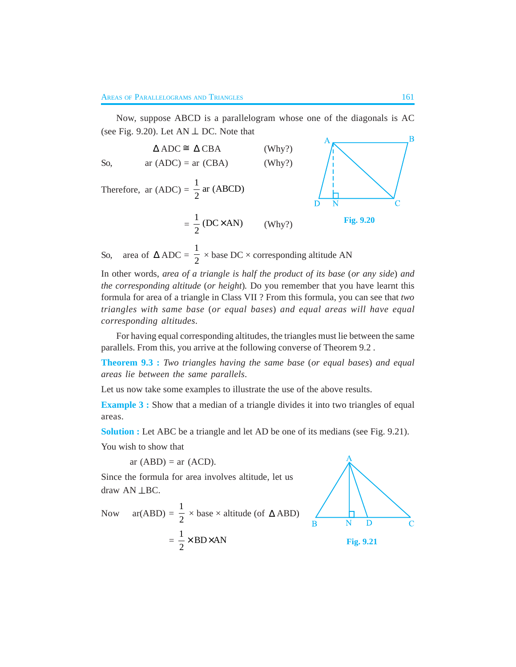Now, suppose ABCD is a parallelogram whose one of the diagonals is AC (see Fig. 9.20). Let  $AN \perp DC$ . Note that



In other words, *area of a triangle is half the product of its base* (*or any side*) *and the corresponding altitude* (*or height*)*.* Do you remember that you have learnt this formula for area of a triangle in Class VII ? From this formula, you can see that *two triangles with same base* (*or equal bases*) *and equal areas will have equal corresponding altitudes.*

For having equal corresponding altitudes, the triangles must lie between the same parallels. From this, you arrive at the following converse of Theorem 9.2 .

**Theorem 9.3 :** *Two triangles having the same base* (*or equal bases*) *and equal areas lie between the same parallels*.

Let us now take some examples to illustrate the use of the above results.

**Example 3 :** Show that a median of a triangle divides it into two triangles of equal areas.

**Solution :** Let ABC be a triangle and let AD be one of its medians (see Fig. 9.21).

You wish to show that

ar  $(ABD) = ar (ACD)$ .

Since the formula for area involves altitude, let us draw AN ⊥ BC.



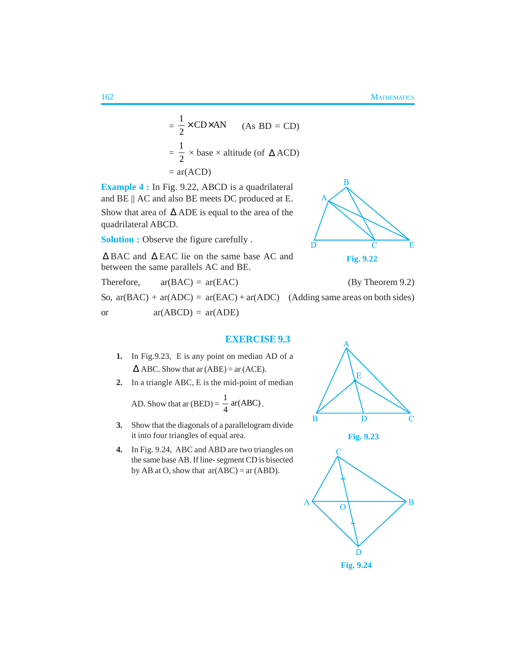$$
= \frac{1}{2} \times CD \times AN
$$
 (As BD = CD)  
=  $\frac{1}{2}$  × base × altitude (of Δ ACD)  
= ar(ACD)

**Example 4 :** In Fig. 9.22, ABCD is a quadrilateral and BE || AC and also BE meets DC produced at E. Show that area of  $\triangle$  ADE is equal to the area of the quadrilateral ABCD.

**Solution :** Observe the figure carefully .

 $\bar{\rm D}$ Ē  $\overline{C}$ **Fig. 9.22**

 $\overline{B}$ 

∆ BAC and ∆ EAC lie on the same base AC and between the same parallels AC and BE.



So,  $ar(BAC) + ar(ADC) = ar(EAC) + ar(ADC)$  (Adding same areas on both sides) or  $ar(ABCD) = ar(ADE)$ 

#### **EXERCISE 9.3**

- **1.** In Fig.9.23, E is any point on median AD of a  $\Delta$  ABC. Show that ar (ABE) = ar (ACE).
- **2.** In a triangle ABC, E is the mid-point of median

AD. Show that ar (BED) =  $\frac{1}{4}$  ar (ABC).

- **3.** Show that the diagonals of a parallelogram divide it into four triangles of equal area.
- **4.** In Fig. 9.24, ABC and ABD are two triangles on the same base AB. If line- segment CD is bisected by AB at O, show that  $ar(ABC) = ar(ABD)$ .



**Fig. 9.23**

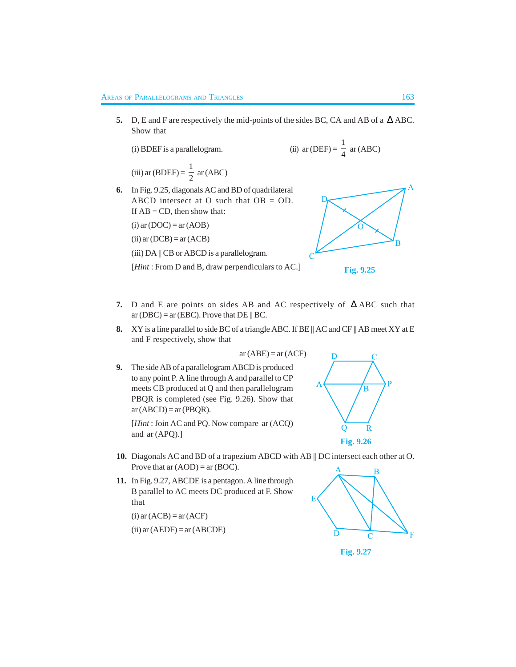**5.** D, E and F are respectively the mid-points of the sides BC, CA and AB of a ∆ ABC. Show that

 $(i)$  BDEF is a parallelogram.

(ii) ar (DEF) = 
$$
\frac{1}{4}
$$
 ar (ABC)

(iii) ar (BDEF) =  $\frac{1}{2}$  ar (ABC)

**6.** In Fig. 9.25, diagonals AC and BD of quadrilateral ABCD intersect at O such that OB = OD. If  $AB = CD$ , then show that:

 $(i)$  ar  $(DOC) = ar (AOB)$ 

 $(ii)$  ar  $(DCB) = ar (ACB)$ 

(iii)  $DA \parallel CB$  or ABCD is a parallelogram.

[*Hint* : From D and B, draw perpendiculars to AC.]





- **7.** D and E are points on sides AB and AC respectively of ∆ ABC such that ar (DBC) = ar (EBC). Prove that  $DE \parallel BC$ .
- **8.** XY is a line parallel to side BC of a triangle ABC. If BE || AC and CF || AB meet XY at E and F respectively, show that

 $ar(ABE) = ar(ACF)$ 

**9.** The side AB of a parallelogram ABCD is produced to any point P. A line through A and parallel to CP meets CB produced at Q and then parallelogram PBQR is completed (see Fig. 9.26). Show that  $ar(ABCD) = ar(PBQR).$ 

[*Hint* : Join AC and PQ. Now compare ar (ACQ) and ar (APQ).]

- **10.** Diagonals AC and BD of a trapezium ABCD with AB || DC intersect each other at O. Prove that ar  $(AOD) = ar (BOC)$ .
- **11.** In Fig. 9.27, ABCDE is a pentagon. A line through B parallel to AC meets DC produced at F. Show that

 $(i)$  ar  $(ACB) = ar (ACF)$ 

 $(ii)$  ar  $(AEDF) = ar (ABCDE)$ 



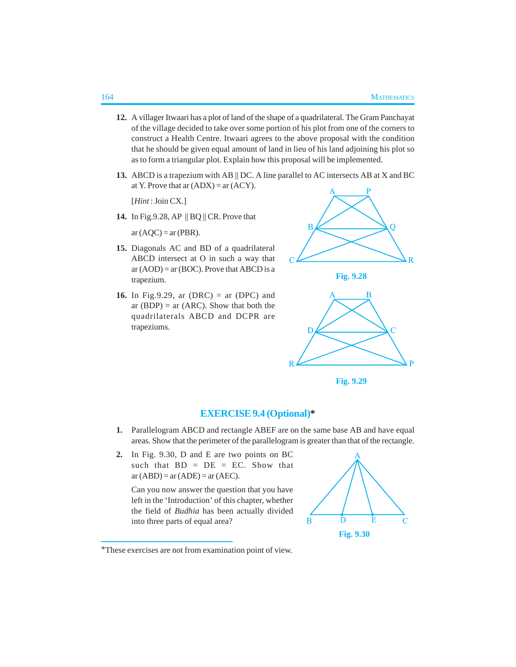- **12.** A villager Itwaari has a plot of land of the shape of a quadrilateral. The Gram Panchayat of the village decided to take over some portion of his plot from one of the corners to construct a Health Centre. Itwaari agrees to the above proposal with the condition that he should be given equal amount of land in lieu of his land adjoining his plot so as to form a triangular plot. Explain how this proposal will be implemented.
- **13.** ABCD is a trapezium with AB || DC. A line parallel to AC intersects AB at X and BC at Y. Prove that ar  $(ADX) = ar (ACY)$ .

[*Hint* : Join CX.]

**14.** In Fig.9.28, AP || BQ || CR. Prove that

 $ar(AQC) = ar(PBR)$ .

- **15.** Diagonals AC and BD of a quadrilateral ABCD intersect at O in such a way that  $ar (AOD) = ar (BOC)$ . Prove that ABCD is a trapezium.
- **16.** In Fig.9.29, ar (DRC) = ar (DPC) and ar  $(BDP) = ar (ARC)$ . Show that both the quadrilaterals ABCD and DCPR are trapeziums.





#### **EXERCISE 9.4 (Optional)\***

- **1.** Parallelogram ABCD and rectangle ABEF are on the same base AB and have equal areas. Show that the perimeter of the parallelogram is greater than that of the rectangle.
- **2.** In Fig. 9.30, D and E are two points on BC such that  $BD = DE = EC$ . Show that  $ar(ABD) = ar(ADE) = ar(AEC).$

Can you now answer the question that you have left in the 'Introduction' of this chapter, whether the field of *Budhia* has been actually divided into three parts of equal area?



<sup>\*</sup>These exercises are not from examination point of view.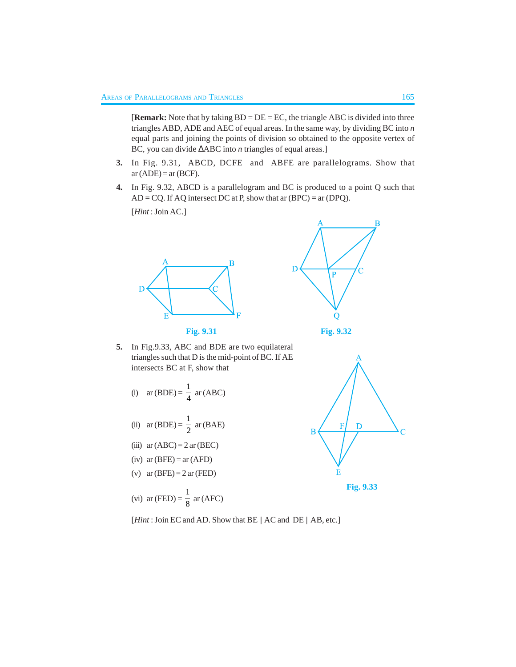[**Remark:** Note that by taking BD = DE = EC, the triangle ABC is divided into three triangles ABD, ADE and AEC of equal areas. In the same way, by dividing BC into *n* equal parts and joining the points of division so obtained to the opposite vertex of BC, you can divide ∆ABC into *n* triangles of equal areas.]

- **3.** In Fig. 9.31, ABCD, DCFE and ABFE are parallelograms. Show that  $ar(ADE) = ar(BCF)$ .
- **4.** In Fig. 9.32, ABCD is a parallelogram and BC is produced to a point Q such that  $AD = CQ$ . If AQ intersect DC at P, show that ar  $(BPC) = ar (DPQ)$ . [*Hint* : Join AC.]







**5.** In Fig.9.33, ABC and BDE are two equilateral triangles such that D is the mid-point of BC. If AE intersects BC at F, show that

(i) 
$$
\operatorname{ar}(BDE) = \frac{1}{4} \operatorname{ar}(ABC)
$$

(ii) ar (BDE) = 
$$
\frac{1}{2}
$$
 ar (BAE)

(iii) 
$$
\text{ar}(ABC) = 2 \text{ar}(BEC)
$$

(iv) 
$$
ar(BFE) = ar (AFD)
$$

(v) 
$$
ar(BFE) = 2 ar(FED)
$$

$$
(vi) \ \text{ar (FED)} = \frac{1}{8} \ \text{ar (AFC)}
$$



[*Hint* : Join EC and AD. Show that BE || AC and DE || AB, etc.]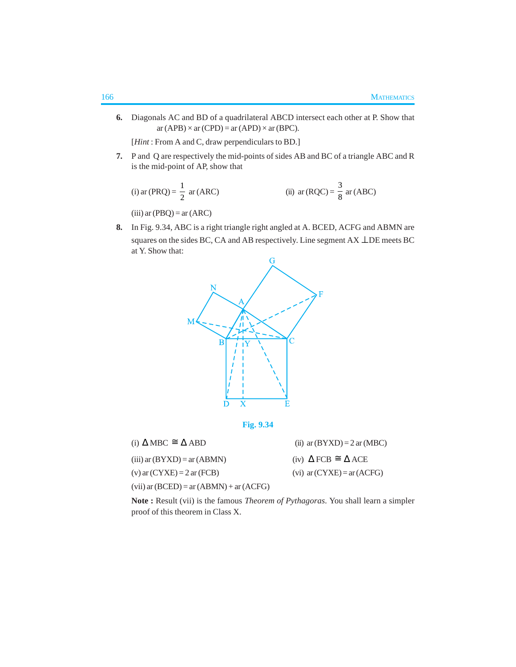**6.** Diagonals AC and BD of a quadrilateral ABCD intersect each other at P. Show that  $ar (APB) \times ar (CPD) = ar (APD) \times ar (BPC).$ 

[*Hint* : From A and C, draw perpendiculars to BD.]

**7.** P and Q are respectively the mid-points of sides AB and BC of a triangle ABC and R is the mid-point of AP, show that

(i) ar (PRQ) = 
$$
\frac{1}{2}
$$
 ar (ARC) (ii) ar (RQC) =  $\frac{3}{8}$  ar (ABC)

 $(iii)$  ar  $(PBQ) = ar (ARC)$ 

**8.** In Fig. 9.34, ABC is a right triangle right angled at A. BCED, ACFG and ABMN are squares on the sides BC, CA and AB respectively. Line segment AX ⊥ DE meets BC at Y. Show that:





(iii) ar (BYXD) = ar (ABMN) (iv)  $\triangle FCB \cong \triangle ACE$ 

 $(vii)$  ar  $(BCED) = ar (ABMN) + ar (ACFG)$ 

(i)  $\triangle$  MBC  $\cong$   $\triangle$  ABD (ii) ar (BYXD) = 2 ar (MBC)

(v) ar  $(CYXE) = 2$  ar  $(FCB)$  (vi) ar  $(CYXE) = ar (ACFG)$ 

**Note :** Result (vii) is the famous *Theorem of Pythagoras*. You shall learn a simpler proof of this theorem in Class X.